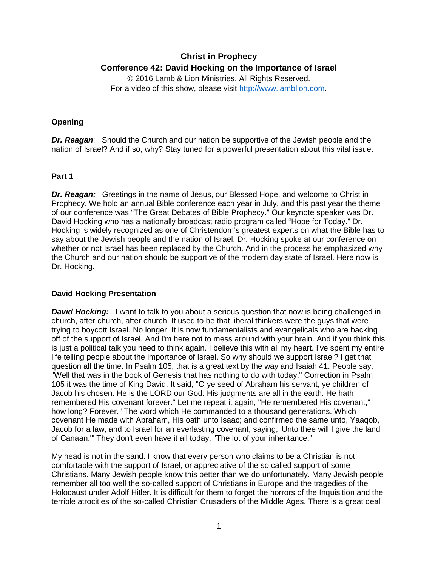# **Christ in Prophecy Conference 42: David Hocking on the Importance of Israel**

© 2016 Lamb & Lion Ministries. All Rights Reserved. For a video of this show, please visit [http://www.lamblion.com.](http://www.lamblion.com/)

### **Opening**

*Dr. Reagan*: Should the Church and our nation be supportive of the Jewish people and the nation of Israel? And if so, why? Stay tuned for a powerful presentation about this vital issue.

#### **Part 1**

*Dr. Reagan:* Greetings in the name of Jesus, our Blessed Hope, and welcome to Christ in Prophecy. We hold an annual Bible conference each year in July, and this past year the theme of our conference was "The Great Debates of Bible Prophecy." Our keynote speaker was Dr. David Hocking who has a nationally broadcast radio program called "Hope for Today." Dr. Hocking is widely recognized as one of Christendom's greatest experts on what the Bible has to say about the Jewish people and the nation of Israel. Dr. Hocking spoke at our conference on whether or not Israel has been replaced by the Church. And in the process he emphasized why the Church and our nation should be supportive of the modern day state of Israel. Here now is Dr. Hocking.

#### **David Hocking Presentation**

**David Hocking:** I want to talk to you about a serious question that now is being challenged in church, after church, after church. It used to be that liberal thinkers were the guys that were trying to boycott Israel. No longer. It is now fundamentalists and evangelicals who are backing off of the support of Israel. And I'm here not to mess around with your brain. And if you think this is just a political talk you need to think again. I believe this with all my heart. I've spent my entire life telling people about the importance of Israel. So why should we support Israel? I get that question all the time. In Psalm 105, that is a great text by the way and Isaiah 41. People say, "Well that was in the book of Genesis that has nothing to do with today." Correction in Psalm 105 it was the time of King David. It said, "O ye seed of Abraham his servant, ye children of Jacob his chosen. He is the LORD our God: His judgments are all in the earth. He hath remembered His covenant forever." Let me repeat it again, "He remembered His covenant," how long? Forever. "The word which He commanded to a thousand generations. Which covenant He made with Abraham, His oath unto Isaac; and confirmed the same unto, Yaaqob, Jacob for a law, and to Israel for an everlasting covenant, saying, 'Unto thee will I give the land of Canaan.'" They don't even have it all today, "The lot of your inheritance."

My head is not in the sand. I know that every person who claims to be a Christian is not comfortable with the support of Israel, or appreciative of the so called support of some Christians. Many Jewish people know this better than we do unfortunately. Many Jewish people remember all too well the so-called support of Christians in Europe and the tragedies of the Holocaust under Adolf Hitler. It is difficult for them to forget the horrors of the Inquisition and the terrible atrocities of the so-called Christian Crusaders of the Middle Ages. There is a great deal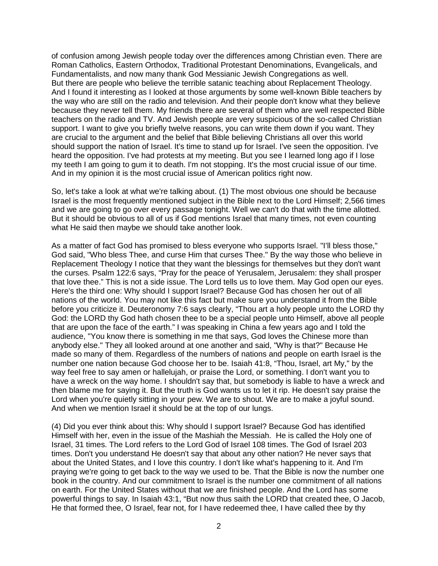of confusion among Jewish people today over the differences among Christian even. There are Roman Catholics, Eastern Orthodox, Traditional Protestant Denominations, Evangelicals, and Fundamentalists, and now many thank God Messianic Jewish Congregations as well. But there are people who believe the terrible satanic teaching about Replacement Theology. And I found it interesting as I looked at those arguments by some well-known Bible teachers by the way who are still on the radio and television. And their people don't know what they believe because they never tell them. My friends there are several of them who are well respected Bible teachers on the radio and TV. And Jewish people are very suspicious of the so-called Christian support. I want to give you briefly twelve reasons, you can write them down if you want. They are crucial to the argument and the belief that Bible believing Christians all over this world should support the nation of Israel. It's time to stand up for Israel. I've seen the opposition. I've heard the opposition. I've had protests at my meeting. But you see I learned long ago if I lose my teeth I am going to gum it to death. I'm not stopping. It's the most crucial issue of our time. And in my opinion it is the most crucial issue of American politics right now.

So, let's take a look at what we're talking about. (1) The most obvious one should be because Israel is the most frequently mentioned subject in the Bible next to the Lord Himself; 2,566 times and we are going to go over every passage tonight. Well we can't do that with the time allotted. But it should be obvious to all of us if God mentions Israel that many times, not even counting what He said then maybe we should take another look.

As a matter of fact God has promised to bless everyone who supports Israel. "I'll bless those," God said, "Who bless Thee, and curse Him that curses Thee." By the way those who believe in Replacement Theology I notice that they want the blessings for themselves but they don't want the curses. Psalm 122:6 says, "Pray for the peace of Yerusalem, Jerusalem: they shall prosper that love thee." This is not a side issue. The Lord tells us to love them. May God open our eyes. Here's the third one: Why should I support Israel? Because God has chosen her out of all nations of the world. You may not like this fact but make sure you understand it from the Bible before you criticize it. Deuteronomy 7:6 says clearly, "Thou art a holy people unto the LORD thy God: the LORD thy God hath chosen thee to be a special people unto Himself, above all people that are upon the face of the earth." I was speaking in China a few years ago and I told the audience, "You know there is something in me that says, God loves the Chinese more than anybody else." They all looked around at one another and said, "Why is that?" Because He made so many of them. Regardless of the numbers of nations and people on earth Israel is the number one nation because God choose her to be. Isaiah 41:8, "Thou, Israel, art My," by the way feel free to say amen or hallelujah, or praise the Lord, or something. I don't want you to have a wreck on the way home. I shouldn't say that, but somebody is liable to have a wreck and then blame me for saying it. But the truth is God wants us to let it rip. He doesn't say praise the Lord when you're quietly sitting in your pew. We are to shout. We are to make a joyful sound. And when we mention Israel it should be at the top of our lungs.

(4) Did you ever think about this: Why should I support Israel? Because God has identified Himself with her, even in the issue of the Mashiah the Messiah. He is called the Holy one of Israel, 31 times. The Lord refers to the Lord God of Israel 108 times. The God of Israel 203 times. Don't you understand He doesn't say that about any other nation? He never says that about the United States, and I love this country. I don't like what's happening to it. And I'm praying we're going to get back to the way we used to be. That the Bible is now the number one book in the country. And our commitment to Israel is the number one commitment of all nations on earth. For the United States without that we are finished people. And the Lord has some powerful things to say. In Isaiah 43:1, "But now thus saith the LORD that created thee, O Jacob, He that formed thee, O Israel, fear not, for I have redeemed thee, I have called thee by thy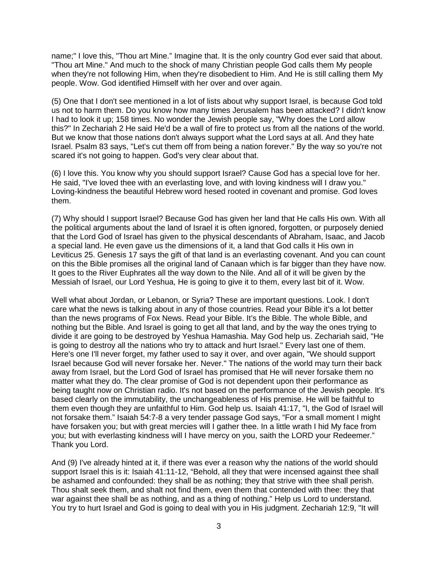name;" I love this, "Thou art Mine." Imagine that. It is the only country God ever said that about. "Thou art Mine." And much to the shock of many Christian people God calls them My people when they're not following Him, when they're disobedient to Him. And He is still calling them My people. Wow. God identified Himself with her over and over again.

(5) One that I don't see mentioned in a lot of lists about why support Israel, is because God told us not to harm them. Do you know how many times Jerusalem has been attacked? I didn't know I had to look it up; 158 times. No wonder the Jewish people say, "Why does the Lord allow this?" In Zechariah 2 He said He'd be a wall of fire to protect us from all the nations of the world. But we know that those nations don't always support what the Lord says at all. And they hate Israel. Psalm 83 says, "Let's cut them off from being a nation forever." By the way so you're not scared it's not going to happen. God's very clear about that.

(6) I love this. You know why you should support Israel? Cause God has a special love for her. He said, "I've loved thee with an everlasting love, and with loving kindness will I draw you." Loving-kindness the beautiful Hebrew word hesed rooted in covenant and promise. God loves them.

(7) Why should I support Israel? Because God has given her land that He calls His own. With all the political arguments about the land of Israel it is often ignored, forgotten, or purposely denied that the Lord God of Israel has given to the physical descendants of Abraham, Isaac, and Jacob a special land. He even gave us the dimensions of it, a land that God calls it His own in Leviticus 25. Genesis 17 says the gift of that land is an everlasting covenant. And you can count on this the Bible promises all the original land of Canaan which is far bigger than they have now. It goes to the River Euphrates all the way down to the Nile. And all of it will be given by the Messiah of Israel, our Lord Yeshua, He is going to give it to them, every last bit of it. Wow.

Well what about Jordan, or Lebanon, or Syria? These are important questions. Look. I don't care what the news is talking about in any of those countries. Read your Bible it's a lot better than the news programs of Fox News. Read your Bible. It's the Bible. The whole Bible, and nothing but the Bible. And Israel is going to get all that land, and by the way the ones trying to divide it are going to be destroyed by Yeshua Hamashia. May God help us. Zechariah said, "He is going to destroy all the nations who try to attack and hurt Israel." Every last one of them. Here's one I'll never forget, my father used to say it over, and over again, "We should support Israel because God will never forsake her. Never." The nations of the world may turn their back away from Israel, but the Lord God of Israel has promised that He will never forsake them no matter what they do. The clear promise of God is not dependent upon their performance as being taught now on Christian radio. It's not based on the performance of the Jewish people. It's based clearly on the immutability, the unchangeableness of His premise. He will be faithful to them even though they are unfaithful to Him. God help us. Isaiah 41:17, "I, the God of Israel will not forsake them." Isaiah 54:7-8 a very tender passage God says, "For a small moment I might have forsaken you; but with great mercies will I gather thee. In a little wrath I hid My face from you; but with everlasting kindness will I have mercy on you, saith the LORD your Redeemer." Thank you Lord.

And (9) I've already hinted at it, if there was ever a reason why the nations of the world should support Israel this is it: Isaiah 41:11-12, "Behold, all they that were incensed against thee shall be ashamed and confounded: they shall be as nothing; they that strive with thee shall perish. Thou shalt seek them, and shalt not find them, even them that contended with thee: they that war against thee shall be as nothing, and as a thing of nothing." Help us Lord to understand. You try to hurt Israel and God is going to deal with you in His judgment. Zechariah 12:9, "It will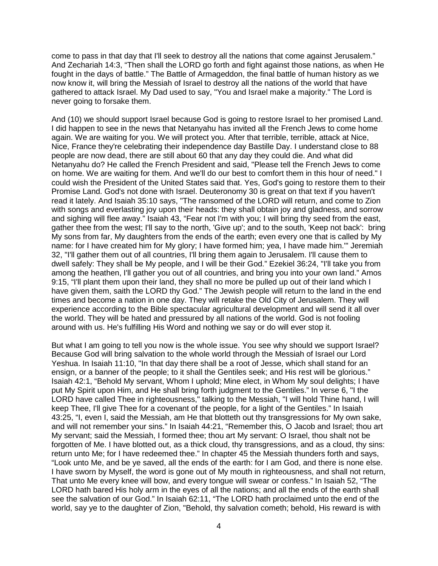come to pass in that day that I'll seek to destroy all the nations that come against Jerusalem." And Zechariah 14:3, "Then shall the LORD go forth and fight against those nations, as when He fought in the days of battle." The Battle of Armageddon, the final battle of human history as we now know it, will bring the Messiah of Israel to destroy all the nations of the world that have gathered to attack Israel. My Dad used to say, "You and Israel make a majority." The Lord is never going to forsake them.

And (10) we should support Israel because God is going to restore Israel to her promised Land. I did happen to see in the news that Netanyahu has invited all the French Jews to come home again. We are waiting for you. We will protect you. After that terrible, terrible, attack at Nice, Nice, France they're celebrating their independence day Bastille Day. I understand close to 88 people are now dead, there are still about 60 that any day they could die. And what did Netanyahu do? He called the French President and said, "Please tell the French Jews to come on home. We are waiting for them. And we'll do our best to comfort them in this hour of need." I could wish the President of the United States said that. Yes, God's going to restore them to their Promise Land. God's not done with Israel. Deuteronomy 30 is great on that text if you haven't read it lately. And Isaiah 35:10 says, "The ransomed of the LORD will return, and come to Zion with songs and everlasting joy upon their heads: they shall obtain joy and gladness, and sorrow and sighing will flee away." Isaiah 43, "Fear not I'm with you; I will bring thy seed from the east, gather thee from the west; I'll say to the north, 'Give up'; and to the south, 'Keep not back': bring My sons from far, My daughters from the ends of the earth; even every one that is called by My name: for I have created him for My glory; I have formed him; yea, I have made him.'" Jeremiah 32, "I'll gather them out of all countries, I'll bring them again to Jerusalem. I'll cause them to dwell safely: They shall be My people, and I will be their God." Ezekiel 36:24, "I'll take you from among the heathen, I'll gather you out of all countries, and bring you into your own land." Amos 9:15, "I'll plant them upon their land, they shall no more be pulled up out of their land which I have given them, saith the LORD thy God." The Jewish people will return to the land in the end times and become a nation in one day. They will retake the Old City of Jerusalem. They will experience according to the Bible spectacular agricultural development and will send it all over the world. They will be hated and pressured by all nations of the world. God is not fooling around with us. He's fulfilling His Word and nothing we say or do will ever stop it.

But what I am going to tell you now is the whole issue. You see why should we support Israel? Because God will bring salvation to the whole world through the Messiah of Israel our Lord Yeshua. In Isaiah 11:10, "In that day there shall be a root of Jesse, which shall stand for an ensign, or a banner of the people; to it shall the Gentiles seek; and His rest will be glorious." Isaiah 42:1, "Behold My servant, Whom I uphold; Mine elect, in Whom My soul delights; I have put My Spirit upon Him, and He shall bring forth judgment to the Gentiles." In verse 6, "I the LORD have called Thee in righteousness," talking to the Messiah, "I will hold Thine hand, I will keep Thee, I'll give Thee for a covenant of the people, for a light of the Gentiles." In Isaiah 43:25, "I, even I, said the Messiah, am He that blotteth out thy transgressions for My own sake, and will not remember your sins." In Isaiah 44:21, "Remember this, O Jacob and Israel; thou art My servant; said the Messiah, I formed thee; thou art My servant: O Israel, thou shalt not be forgotten of Me. I have blotted out, as a thick cloud, thy transgressions, and as a cloud, thy sins: return unto Me; for I have redeemed thee." In chapter 45 the Messiah thunders forth and says, "Look unto Me, and be ye saved, all the ends of the earth: for I am God, and there is none else. I have sworn by Myself, the word is gone out of My mouth in righteousness, and shall not return, That unto Me every knee will bow, and every tongue will swear or confess." In Isaiah 52, "The LORD hath bared His holy arm in the eyes of all the nations; and all the ends of the earth shall see the salvation of our God." In Isaiah 62:11, "The LORD hath proclaimed unto the end of the world, say ye to the daughter of Zion, "Behold, thy salvation cometh; behold, His reward is with